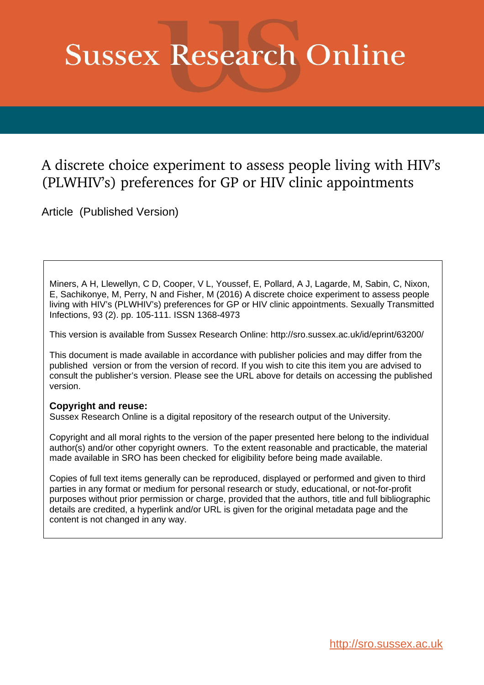# **Sussex Research Online**

# A discrete choice experiment to assess people living with HIV's (PLWHIV's) preferences for GP or HIV clinic appointments

Article (Published Version)

Miners, A H, Llewellyn, C D, Cooper, V L, Youssef, E, Pollard, A J, Lagarde, M, Sabin, C, Nixon, E, Sachikonye, M, Perry, N and Fisher, M (2016) A discrete choice experiment to assess people living with HIV's (PLWHIV's) preferences for GP or HIV clinic appointments. Sexually Transmitted Infections, 93 (2). pp. 105-111. ISSN 1368-4973

This version is available from Sussex Research Online: http://sro.sussex.ac.uk/id/eprint/63200/

This document is made available in accordance with publisher policies and may differ from the published version or from the version of record. If you wish to cite this item you are advised to consult the publisher's version. Please see the URL above for details on accessing the published version.

## **Copyright and reuse:**

Sussex Research Online is a digital repository of the research output of the University.

Copyright and all moral rights to the version of the paper presented here belong to the individual author(s) and/or other copyright owners. To the extent reasonable and practicable, the material made available in SRO has been checked for eligibility before being made available.

Copies of full text items generally can be reproduced, displayed or performed and given to third parties in any format or medium for personal research or study, educational, or not-for-profit purposes without prior permission or charge, provided that the authors, title and full bibliographic details are credited, a hyperlink and/or URL is given for the original metadata page and the content is not changed in any way.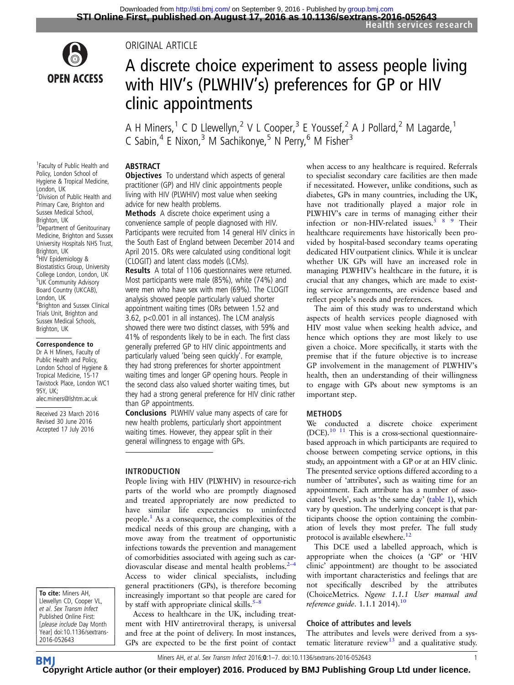

#### ORIGINAL ARTICLE

# A discrete choice experiment to assess people living with HIV's (PLWHIV's) preferences for GP or HIV clinic appointments

A H Miners,<sup>1</sup> C D Llewellyn,<sup>2</sup> V L Cooper,<sup>3</sup> E Youssef,<sup>2</sup> A J Pollard,<sup>2</sup> M Lagarde,<sup>1</sup> C Sabin, $4 \text{ E}$  Nixon, $3 \text{ M}$  Sachikonye, $5 \text{ N}$  Perry, $6 \text{ M}$  Fisher $3 \text{ M}$ 

#### ABSTRACT

**Objectives** To understand which aspects of general practitioner (GP) and HIV clinic appointments people living with HIV (PLWHIV) most value when seeking advice for new health problems.

Methods A discrete choice experiment using a convenience sample of people diagnosed with HIV. Participants were recruited from 14 general HIV clinics in the South East of England between December 2014 and April 2015. ORs were calculated using conditional logit (CLOGIT) and latent class models (LCMs).

Results A total of 1106 questionnaires were returned. Most participants were male (85%), white (74%) and were men who have sex with men (69%). The CLOGIT analysis showed people particularly valued shorter appointment waiting times (ORs between 1.52 and 3.62, p<0.001 in all instances). The LCM analysis showed there were two distinct classes, with 59% and 41% of respondents likely to be in each. The first class generally preferred GP to HIV clinic appointments and particularly valued 'being seen quickly'. For example, they had strong preferences for shorter appointment waiting times and longer GP opening hours. People in the second class also valued shorter waiting times, but they had a strong general preference for HIV clinic rather than GP appointments.

Conclusions PLWHIV value many aspects of care for new health problems, particularly short appointment waiting times. However, they appear split in their general willingness to engage with GPs.

#### INTRODUCTION

People living with HIV (PLWHIV) in resource-rich parts of the world who are promptly diagnosed and treated appropriately are now predicted to have similar life expectancies to uninfected people. $<sup>1</sup>$  As a consequence, the complexities of the</sup> medical needs of this group are changing, with a move away from the treatment of opportunistic infections towards the prevention and management of comorbidities associated with ageing such as car-diovascular disease and mental health problems.<sup>[2](#page-7-0)–4</sup> Access to wider clinical specialists, including general practitioners (GPs), is therefore becoming increasingly important so that people are cared for by staff with appropriate clinical skills. $5-8$  $5-8$ 

Access to healthcare in the UK, including treatment with HIV antiretroviral therapy, is universal and free at the point of delivery. In most instances, GPs are expected to be the first point of contact when access to any healthcare is required. Referrals to specialist secondary care facilities are then made if necessitated. However, unlike conditions, such as diabetes, GPs in many countries, including the UK, have not traditionally played a major role in PLWHIV's care in terms of managing either their infection or non-HIV-related issues.<sup>5</sup>  $8$  <sup>9</sup> Their healthcare requirements have historically been provided by hospital-based secondary teams operating dedicated HIV outpatient clinics. While it is unclear whether UK GPs will have an increased role in managing PLWHIV's healthcare in the future, it is crucial that any changes, which are made to existing service arrangements, are evidence based and reflect people's needs and preferences.

The aim of this study was to understand which aspects of health services people diagnosed with HIV most value when seeking health advice, and hence which options they are most likely to use given a choice. More specifically, it starts with the premise that if the future objective is to increase GP involvement in the management of PLWHIV's health, then an understanding of their willingness to engage with GPs about new symptoms is an important step.

#### **METHODS**

We conducted a discrete choice experiment (DCE).[10 11](#page-7-0) This is a cross-sectional questionnairebased approach in which participants are required to choose between competing service options, in this study, an appointment with a GP or at an HIV clinic. The presented service options differed according to a number of 'attributes', such as waiting time for an appointment. Each attribute has a number of associated 'levels', such as 'the same day' [\(table 1\)](#page-2-0), which vary by question. The underlying concept is that participants choose the option containing the combination of levels they most prefer. The full study protocol is available elsewhere.<sup>[12](#page-7-0)</sup>

This DCE used a labelled approach, which is appropriate when the choices (a 'GP' or 'HIV clinic' appointment) are thought to be associated with important characteristics and feelings that are not specifically described by the attributes (ChoiceMetrics. Ngene 1.1.1 User manual and reference guide.  $1.1.1$  2014).<sup>[10](#page-7-0)</sup>

#### Choice of attributes and levels

The attributes and levels were derived from a systematic literature review $13$  and a qualitative study.

<sup>1</sup> Faculty of Public Health and Policy, London School of Hygiene & Tropical Medicine, London, UK <sup>2</sup> Division of Public Health and Primary Care, Brighton and Sussex Medical School, Brighton, UK <sup>3</sup>Department of Genitourinary Medicine, Brighton and Sussex University Hospitals NHS Trust, Brighton, UK 4 HIV Epidemiology & Biostatistics Group, University College London, London, UK 5 UK Community Advisory Board Country (UKCAB), London, UK 6 Brighton and Sussex Clinical Trials Unit, Brighton and Sussex Medical Schools, Brighton, UK

#### Correspondence to

Dr A H Miners, Faculty of Public Health and Policy, London School of Hygiene & Tropical Medicine, 15-17 Tavistock Place, London WC1 9SY, UK; alec.miners@lshtm.ac.uk

Received 23 March 2016 Revised 30 June 2016 Accepted 17 July 2016

To cite: Miners AH, Llewellyn CD, Cooper VL, et al. Sex Transm Infect Published Online First: [please include Day Month Year] doi:10.1136/sextrans-2016-052643

**BM [Cop](http://sti.bmj.com)yright Article author (or their employer) 2016. Produced by BMJ Publishing Group Ltd under licence.**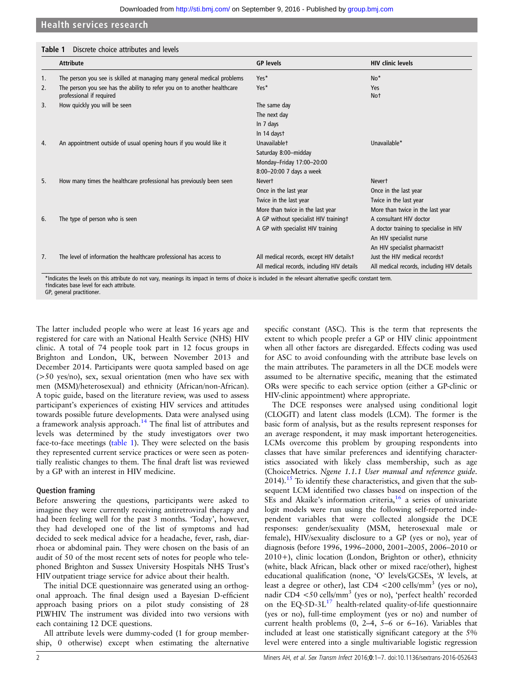2 Miners AH, et al. Sex Transm Infect 2016;0:1–7. doi:10.1136/sextrans-2016-052643

| vices research |  |  |
|----------------|--|--|
|                |  |  |

Downloaded from<http://sti.bmj.com/>on September 9, 2016 - Published by [group.bmj.com](http://group.bmj.com)

| Table 1 | Discrete choice attributes and levels                                                                |                                            |                                            |
|---------|------------------------------------------------------------------------------------------------------|--------------------------------------------|--------------------------------------------|
|         | <b>Attribute</b>                                                                                     | <b>GP</b> levels                           | <b>HIV clinic levels</b>                   |
| 1.      | The person you see is skilled at managing many general medical problems                              | Yes*                                       | $No*$                                      |
| 2.      | The person you see has the ability to refer you on to another healthcare<br>professional if required | Yes*                                       | Yes<br>Not                                 |
| 3.      | How quickly you will be seen                                                                         | The same day                               |                                            |
|         |                                                                                                      | The next day                               |                                            |
|         |                                                                                                      | In 7 days                                  |                                            |
|         |                                                                                                      | In 14 dayst                                |                                            |
| 4.      | An appointment outside of usual opening hours if you would like it                                   | Unavailablet                               | Unavailable*                               |
|         |                                                                                                      | Saturday 8:00-midday                       |                                            |
|         |                                                                                                      | Monday-Friday 17:00-20:00                  |                                            |
|         |                                                                                                      | 8:00-20:00 7 days a week                   |                                            |
| 5.      | How many times the healthcare professional has previously been seen                                  | <b>Nevert</b>                              | Never <sub>t</sub>                         |
|         |                                                                                                      | Once in the last year                      | Once in the last year                      |
|         |                                                                                                      | Twice in the last year                     | Twice in the last year                     |
|         |                                                                                                      | More than twice in the last year           | More than twice in the last year           |
| 6.      | The type of person who is seen                                                                       | A GP without specialist HIV training t     | A consultant HIV doctor                    |
|         |                                                                                                      | A GP with specialist HIV training          | A doctor training to specialise in HIV     |
|         |                                                                                                      |                                            | An HIV specialist nurse                    |
|         |                                                                                                      |                                            | An HIV specialist pharmacist†              |
| 7.      | The level of information the healthcare professional has access to                                   | All medical records, except HIV detailst   | Just the HIV medical recordst              |
|         |                                                                                                      | All medical records, including HIV details | All medical records, including HIV details |

\*Indicates the levels on this attribute do not vary, meanings its impact in terms of choice is included in the relevant alternative specific constant term. †Indicates base level for each attribute.

GP, general practitioner.

<span id="page-2-0"></span>**Health se** 

The latter included people who were at least 16 years age and registered for care with an National Health Service (NHS) HIV clinic. A total of 74 people took part in 12 focus groups in Brighton and London, UK, between November 2013 and December 2014. Participants were quota sampled based on age (>50 yes/no), sex, sexual orientation (men who have sex with men (MSM)/heterosexual) and ethnicity (African/non-African). A topic guide, based on the literature review, was used to assess participant's experiences of existing HIV services and attitudes towards possible future developments. Data were analysed using a framework analysis approach.<sup>[14](#page-7-0)</sup> The final list of attributes and levels was determined by the study investigators over two face-to-face meetings (table 1). They were selected on the basis they represented current service practices or were seen as potentially realistic changes to them. The final draft list was reviewed by a GP with an interest in HIV medicine.

#### Question framing

Before answering the questions, participants were asked to imagine they were currently receiving antiretroviral therapy and had been feeling well for the past 3 months. 'Today', however, they had developed one of the list of symptoms and had decided to seek medical advice for a headache, fever, rash, diarrhoea or abdominal pain. They were chosen on the basis of an audit of 50 of the most recent sets of notes for people who telephoned Brighton and Sussex University Hospitals NHS Trust's HIV outpatient triage service for advice about their health.

The initial DCE questionnaire was generated using an orthogonal approach. The final design used a Bayesian D-efficient approach basing priors on a pilot study consisting of 28 PLWHIV. The instrument was divided into two versions with each containing 12 DCE questions.

All attribute levels were dummy-coded (1 for group membership, 0 otherwise) except when estimating the alternative specific constant (ASC). This is the term that represents the extent to which people prefer a GP or HIV clinic appointment when all other factors are disregarded. Effects coding was used for ASC to avoid confounding with the attribute base levels on the main attributes. The parameters in all the DCE models were assumed to be alternative specific, meaning that the estimated ORs were specific to each service option (either a GP-clinic or HIV-clinic appointment) where appropriate.

The DCE responses were analysed using conditional logit (CLOGIT) and latent class models (LCM). The former is the basic form of analysis, but as the results represent responses for an average respondent, it may mask important heterogeneities. LCMs overcome this problem by grouping respondents into classes that have similar preferences and identifying characteristics associated with likely class membership, such as age (ChoiceMetrics. Ngene 1.1.1 User manual and reference guide. 2014).<sup>[15](#page-7-0)</sup> To identify these characteristics, and given that the subsequent LCM identified two classes based on inspection of the SEs and Akaike's information criteria,<sup>[16](#page-7-0)</sup> a series of univariate logit models were run using the following self-reported independent variables that were collected alongside the DCE responses: gender/sexuality (MSM, heterosexual male or female), HIV/sexuality disclosure to a GP (yes or no), year of diagnosis (before 1996, 1996–2000, 2001–2005, 2006–2010 or 2010+), clinic location (London, Brighton or other), ethnicity (white, black African, black other or mixed race/other), highest educational qualification (none, 'O' levels/GCSEs, 'A' levels, at least a degree or other), last CD4  $\lt$  200 cells/mm<sup>3</sup> (yes or no), nadir CD4  $<$  50 cells/mm<sup>3</sup> (yes or no), 'perfect health' recorded on the EQ-5D-3L $^{17}$  health-related quality-of-life questionnaire (yes or no), full-time employment (yes or no) and number of current health problems (0, 2–4, 5–6 or 6–16). Variables that included at least one statistically significant category at the 5% level were entered into a single multivariable logistic regression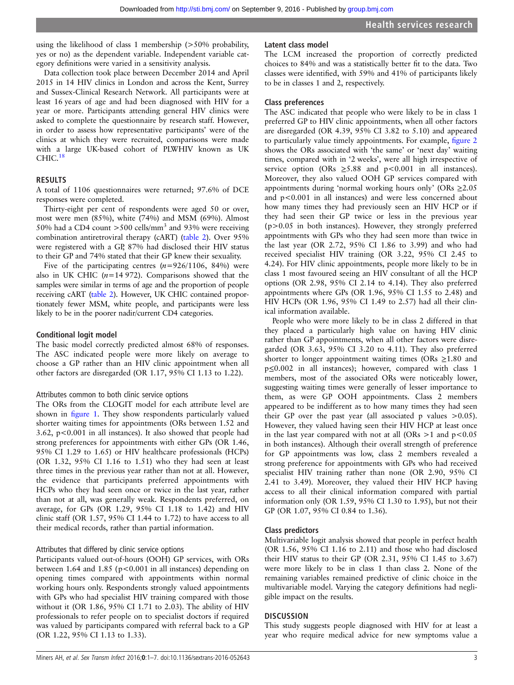using the likelihood of class 1 membership (>50% probability, yes or no) as the dependent variable. Independent variable category definitions were varied in a sensitivity analysis.

Data collection took place between December 2014 and April 2015 in 14 HIV clinics in London and across the Kent, Surrey and Sussex-Clinical Research Network. All participants were at least 16 years of age and had been diagnosed with HIV for a year or more. Participants attending general HIV clinics were asked to complete the questionnaire by research staff. However, in order to assess how representative participants' were of the clinics at which they were recruited, comparisons were made with a large UK-based cohort of PLWHIV known as UK CHIC.<sup>[18](#page-7-0)</sup>

#### RESULTS

A total of 1106 questionnaires were returned; 97.6% of DCE responses were completed.

Thirty-eight per cent of respondents were aged 50 or over, most were men (85%), white (74%) and MSM (69%). Almost 50% had a CD4 count >500 cells/mm<sup>3</sup> and 93% were receiving combination antiretroviral therapy (cART) [\(table 2](#page-4-0)). Over 95% were registered with a GP, 87% had disclosed their HIV status to their GP and 74% stated that their GP knew their sexuality.

Five of the participating centres  $(n=926/1106, 84%)$  were also in UK CHIC  $(n=14972)$ . Comparisons showed that the samples were similar in terms of age and the proportion of people receiving cART ([table 2\)](#page-4-0). However, UK CHIC contained proportionately fewer MSM, white people, and participants were less likely to be in the poorer nadir/current CD4 categories.

#### Conditional logit model

The basic model correctly predicted almost 68% of responses. The ASC indicated people were more likely on average to choose a GP rather than an HIV clinic appointment when all other factors are disregarded (OR 1.17, 95% CI 1.13 to 1.22).

#### Attributes common to both clinic service options

The ORs from the CLOGIT model for each attribute level are shown in fi[gure 1.](#page-5-0) They show respondents particularly valued shorter waiting times for appointments (ORs between 1.52 and 3.62, p<0.001 in all instances). It also showed that people had strong preferences for appointments with either GPs (OR 1.46, 95% CI 1.29 to 1.65) or HIV healthcare professionals (HCPs) (OR 1.32, 95% CI 1.16 to 1.51) who they had seen at least three times in the previous year rather than not at all. However, the evidence that participants preferred appointments with HCPs who they had seen once or twice in the last year, rather than not at all, was generally weak. Respondents preferred, on average, for GPs (OR 1.29, 95% CI 1.18 to 1.42) and HIV clinic staff (OR 1.57, 95% CI 1.44 to 1.72) to have access to all their medical records, rather than partial information.

#### Attributes that differed by clinic service options

Participants valued out-of-hours (OOH) GP services, with ORs between 1.64 and 1.85 ( $p < 0.001$  in all instances) depending on opening times compared with appointments within normal working hours only. Respondents strongly valued appointments with GPs who had specialist HIV training compared with those without it (OR 1.86, 95% CI 1.71 to 2.03). The ability of HIV professionals to refer people on to specialist doctors if required was valued by participants compared with referral back to a GP (OR 1.22, 95% CI 1.13 to 1.33).

#### Latent class model

The LCM increased the proportion of correctly predicted choices to 84% and was a statistically better fit to the data. Two classes were identified, with 59% and 41% of participants likely to be in classes 1 and 2, respectively.

#### Class preferences

The ASC indicated that people who were likely to be in class 1 preferred GP to HIV clinic appointments, when all other factors are disregarded (OR 4.39, 95% CI 3.82 to 5.10) and appeared to particularly value timely appointments. For example, fi[gure 2](#page-5-0) shows the ORs associated with 'the same' or 'next day' waiting times, compared with in '2 weeks', were all high irrespective of service option (ORs  $\geq$ 5.88 and p<0.001 in all instances). Moreover, they also valued OOH GP services compared with appointments during 'normal working hours only' (ORs ≥2.05 and p<0.001 in all instances) and were less concerned about how many times they had previously seen an HIV HCP or if they had seen their GP twice or less in the previous year (p>0.05 in both instances). However, they strongly preferred appointments with GPs who they had seen more than twice in the last year (OR 2.72, 95% CI 1.86 to 3.99) and who had received specialist HIV training (OR 3.22, 95% CI 2.45 to 4.24). For HIV clinic appointments, people more likely to be in class 1 most favoured seeing an HIV consultant of all the HCP options (OR 2.98, 95% CI 2.14 to 4.14). They also preferred appointments where GPs (OR 1.96, 95% CI 1.55 to 2.48) and HIV HCPs (OR 1.96, 95% CI 1.49 to 2.57) had all their clinical information available.

People who were more likely to be in class 2 differed in that they placed a particularly high value on having HIV clinic rather than GP appointments, when all other factors were disregarded (OR 3.63, 95% CI 3.20 to 4.11). They also preferred shorter to longer appointment waiting times (ORs  $\geq$ 1.80 and p≤0.002 in all instances); however, compared with class 1 members, most of the associated ORs were noticeably lower, suggesting waiting times were generally of lesser importance to them, as were GP OOH appointments. Class 2 members appeared to be indifferent as to how many times they had seen their GP over the past year (all associated p values  $>0.05$ ). However, they valued having seen their HIV HCP at least once in the last year compared with not at all  $(ORS > 1$  and  $p < 0.05$ in both instances). Although their overall strength of preference for GP appointments was low, class 2 members revealed a strong preference for appointments with GPs who had received specialist HIV training rather than none (OR 2.90, 95% CI 2.41 to 3.49). Moreover, they valued their HIV HCP having access to all their clinical information compared with partial information only (OR 1.59, 95% CI 1.30 to 1.95), but not their GP (OR 1.07, 95% CI 0.84 to 1.36).

#### Class predictors

Multivariable logit analysis showed that people in perfect health (OR 1.56, 95% CI 1.16 to 2.11) and those who had disclosed their HIV status to their GP (OR 2.31, 95% CI 1.45 to 3.67) were more likely to be in class 1 than class 2. None of the remaining variables remained predictive of clinic choice in the multivariable model. Varying the category definitions had negligible impact on the results.

#### **DISCUSSION**

This study suggests people diagnosed with HIV for at least a year who require medical advice for new symptoms value a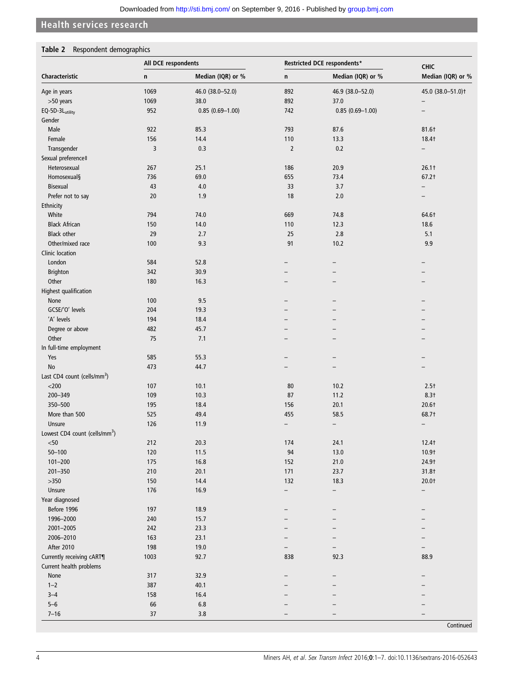# <span id="page-4-0"></span>Health services research

## Table 2 Respondent demographics

|                                           | All DCE respondents |                   | Restricted DCE respondents* |                                  | <b>CHIC</b>              |
|-------------------------------------------|---------------------|-------------------|-----------------------------|----------------------------------|--------------------------|
| Characteristic                            | n                   | Median (IQR) or % | n                           | Median (IQR) or %                | Median (IQR) or %        |
| Age in years                              | 1069                | 46.0 (38.0-52.0)  | 892                         | 46.9 (38.0-52.0)                 | 45.0 (38.0-51.0)t        |
| >50 years                                 | 1069                | 38.0              | 892                         | 37.0                             | $\qquad \qquad -$        |
| EQ-5D-3Lutility                           | 952                 | $0.85(0.69-1.00)$ | 742                         | $0.85(0.69 - 1.00)$              | $\qquad \qquad -$        |
| Gender                                    |                     |                   |                             |                                  |                          |
| Male                                      | 922                 | 85.3              | 793                         | 87.6                             | 81.6†                    |
| Female                                    | 156                 | 14.4              | 110                         | 13.3                             | 18.41                    |
| Transgender                               | 3                   | 0.3               | $\mathbf 2$                 | 0.2                              | $\qquad \qquad -$        |
| Sexual preference‡                        |                     |                   |                             |                                  |                          |
| Heterosexual                              | 267                 | 25.1              | 186                         | 20.9                             | 26.1 <sup>†</sup>        |
| Homosexual§                               | 736                 | 69.0              | 655                         | 73.4                             | 67.2†                    |
| Bisexual                                  | 43                  | 4.0               | 33                          | 3.7                              | -                        |
| Prefer not to say                         | 20                  | 1.9               | 18                          | 2.0                              | $\overline{\phantom{0}}$ |
| Ethnicity                                 |                     |                   |                             |                                  |                          |
| White                                     | 794                 | 74.0              | 669                         | 74.8                             | 64.6†                    |
| <b>Black African</b>                      | 150                 | 14.0              | 110                         | 12.3                             | 18.6                     |
| <b>Black other</b>                        | 29                  | 2.7               | 25                          | 2.8                              | 5.1                      |
| Other/mixed race                          | 100                 | 9.3               | 91                          | 10.2                             | 9.9                      |
| <b>Clinic location</b>                    |                     |                   |                             |                                  |                          |
| London                                    | 584                 | 52.8              |                             |                                  |                          |
| <b>Brighton</b>                           | 342                 | 30.9              |                             |                                  |                          |
| Other                                     | 180                 | 16.3              |                             | $\overline{\phantom{0}}$         |                          |
| Highest qualification                     |                     |                   |                             |                                  |                          |
| None                                      | 100                 | 9.5               |                             |                                  |                          |
| GCSE/'O' levels                           | 204                 | 19.3              |                             |                                  |                          |
| 'A' levels                                | 194                 | 18.4              |                             |                                  |                          |
| Degree or above                           | 482                 | 45.7              |                             |                                  |                          |
| Other                                     | 75                  | 7.1               |                             |                                  |                          |
| In full-time employment                   |                     |                   |                             |                                  |                          |
| Yes                                       | 585                 | 55.3              | $\qquad \qquad -$           |                                  |                          |
| <b>No</b>                                 | 473                 | 44.7              |                             | $\overbrace{\phantom{12322111}}$ |                          |
| Last CD4 count (cells/mm <sup>3</sup> )   |                     |                   |                             |                                  |                          |
| $<$ 200 $\,$                              | 107                 | 10.1              | 80                          | 10.2                             | 2.5 <sup>†</sup>         |
| 200-349                                   | 109                 | 10.3              | 87                          | 11.2                             | $8.3 +$                  |
| 350-500                                   | 195                 | 18.4              | 156                         | 20.1                             | 20.6†                    |
| More than 500                             | 525                 | 49.4              | 455                         | 58.5                             | 68.71                    |
| Unsure                                    | 126                 | 11.9              | $\qquad \qquad -$           | $\overline{\phantom{a}}$         | $\qquad \qquad -$        |
| Lowest CD4 count (cells/mm <sup>3</sup> ) |                     |                   |                             |                                  |                          |
| $50$                                      | 212                 | 20.3              | 174                         | 24.1                             | 12.41                    |
| $50 - 100$                                | 120                 | 11.5              | 94                          | 13.0                             | 10.91                    |
| $101 - 200$                               | 175                 | 16.8              | 152                         | 21.0                             | 24.9†                    |
| $201 - 350$                               | 210                 | 20.1              | 171                         | 23.7                             | 31.81                    |
| $>\!\!350$                                | 150                 | 14.4              | 132                         | 18.3                             | 20.01                    |
| Unsure                                    | 176                 | 16.9              |                             |                                  |                          |
| Year diagnosed                            |                     |                   |                             |                                  |                          |
| Before 1996                               | 197                 | 18.9              |                             |                                  |                          |
| 1996-2000                                 | 240                 | 15.7              |                             |                                  |                          |
| 2001-2005                                 | 242                 | 23.3              |                             |                                  |                          |
| 2006-2010                                 | 163                 | 23.1              |                             |                                  |                          |
| After 2010                                | 198                 | 19.0              |                             |                                  |                          |
| Currently receiving cART¶                 | 1003                | 92.7              | 838                         | 92.3                             | 88.9                     |
| Current health problems                   |                     |                   |                             |                                  |                          |
| None                                      | 317                 | 32.9              |                             |                                  |                          |
| $1 - 2$                                   | 387                 | 40.1              |                             |                                  |                          |
| $3 - 4$                                   | 158                 | 16.4              |                             |                                  |                          |
| $5 - 6$                                   | 66                  | $6.8\,$           |                             |                                  |                          |
| $7 - 16$                                  | 37                  | 3.8               |                             |                                  |                          |
|                                           |                     |                   |                             |                                  | Continued                |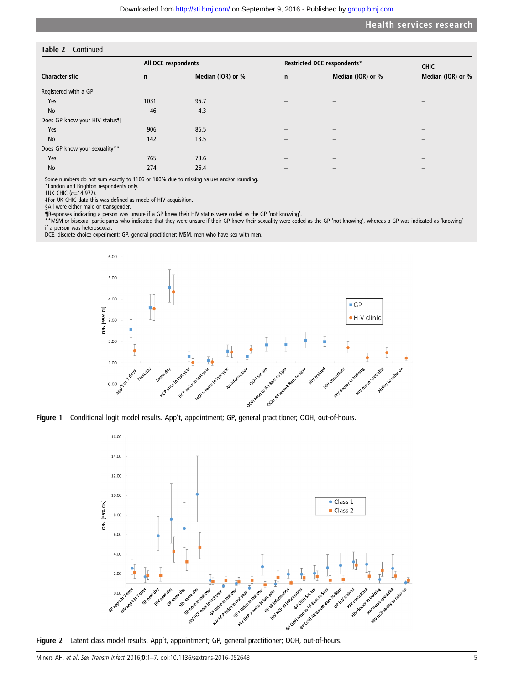#### <span id="page-5-0"></span>Table 2 Continued

|                               | All DCE respondents |                   | Restricted DCE respondents* |                   | <b>CHIC</b>              |
|-------------------------------|---------------------|-------------------|-----------------------------|-------------------|--------------------------|
| <b>Characteristic</b>         | n                   | Median (IQR) or % | n                           | Median (IQR) or % | Median (IQR) or %        |
| Registered with a GP          |                     |                   |                             |                   |                          |
| Yes                           | 1031                | 95.7              |                             |                   |                          |
| <b>No</b>                     | 46                  | 4.3               | -                           |                   |                          |
| Does GP know your HIV status¶ |                     |                   |                             |                   |                          |
| Yes                           | 906                 | 86.5              |                             |                   |                          |
| <b>No</b>                     | 142                 | 13.5              | $\overline{\phantom{0}}$    |                   |                          |
| Does GP know your sexuality** |                     |                   |                             |                   |                          |
| Yes                           | 765                 | 73.6              |                             |                   |                          |
| <b>No</b>                     | 274                 | 26.4              |                             |                   | $\overline{\phantom{m}}$ |

Some numbers do not sum exactly to 1106 or 100% due to missing values and/or rounding.

\*London and Brighton respondents only.

†UK CHIC (n=14 972).

‡For UK CHIC data this was defined as mode of HIV acquisition.

§All were either male or transgender.

¶Responses indicating a person was unsure if a GP knew their HIV status were coded as the GP 'not knowing'.

\*\*MSM or bisexual participants who indicated that they were unsure if their GP knew their sexuality were coded as the GP 'not knowing', whereas a GP was indicated as 'knowing' if a person was heterosexual.

DCE, discrete choice experiment; GP, general practitioner; MSM, men who have sex with men.



Figure 1 Conditional logit model results. App't, appointment; GP, general practitioner; OOH, out-of-hours.



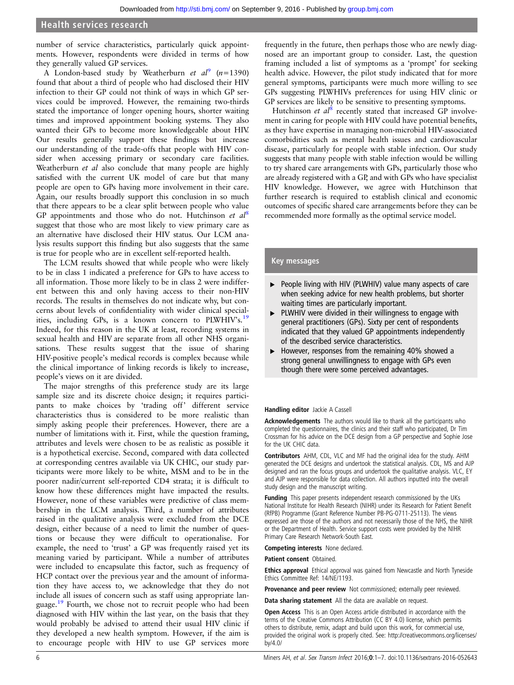#### Health services research

number of service characteristics, particularly quick appointments. However, respondents were divided in terms of how they generally valued GP services.

A London-based study by Weatherburn et  $al^9$  $al^9$  (n=1390) found that about a third of people who had disclosed their HIV infection to their GP could not think of ways in which GP services could be improved. However, the remaining two-thirds stated the importance of longer opening hours, shorter waiting times and improved appointment booking systems. They also wanted their GPs to become more knowledgeable about HIV. Our results generally support these findings but increase our understanding of the trade-offs that people with HIV consider when accessing primary or secondary care facilities. Weatherburn et al also conclude that many people are highly satisfied with the current UK model of care but that many people are open to GPs having more involvement in their care. Again, our results broadly support this conclusion in so much that there appears to be a clear split between people who value GP appointments and those who do not. Hutchinson et  $al^8$  $al^8$ suggest that those who are most likely to view primary care as an alternative have disclosed their HIV status. Our LCM analysis results support this finding but also suggests that the same is true for people who are in excellent self-reported health.

The LCM results showed that while people who were likely to be in class 1 indicated a preference for GPs to have access to all information. Those more likely to be in class 2 were indifferent between this and only having access to their non-HIV records. The results in themselves do not indicate why, but concerns about levels of confidentiality with wider clinical specialities, including GPs, is a known concern to PLWHIV's.<sup>19</sup> Indeed, for this reason in the UK at least, recording systems in sexual health and HIV are separate from all other NHS organisations. These results suggest that the issue of sharing HIV-positive people's medical records is complex because while the clinical importance of linking records is likely to increase, people's views on it are divided.

The major strengths of this preference study are its large sample size and its discrete choice design; it requires participants to make choices by 'trading off' different service characteristics thus is considered to be more realistic than simply asking people their preferences. However, there are a number of limitations with it. First, while the question framing, attributes and levels were chosen to be as realistic as possible it is a hypothetical exercise. Second, compared with data collected at corresponding centres available via UK CHIC, our study participants were more likely to be white, MSM and to be in the poorer nadir/current self-reported CD4 strata; it is difficult to know how these differences might have impacted the results. However, none of these variables were predictive of class membership in the LCM analysis. Third, a number of attributes raised in the qualitative analysis were excluded from the DCE design, either because of a need to limit the number of questions or because they were difficult to operationalise. For example, the need to 'trust' a GP was frequently raised yet its meaning varied by participant. While a number of attributes were included to encapsulate this factor, such as frequency of HCP contact over the previous year and the amount of information they have access to, we acknowledge that they do not include all issues of concern such as staff using appropriate language.<sup>19</sup> Fourth, we chose not to recruit people who had been diagnosed with HIV within the last year, on the basis that they would probably be advised to attend their usual HIV clinic if they developed a new health symptom. However, if the aim is to encourage people with HIV to use GP services more

frequently in the future, then perhaps those who are newly diagnosed are an important group to consider. Last, the question framing included a list of symptoms as a 'prompt' for seeking health advice. However, the pilot study indicated that for more general symptoms, participants were much more willing to see GPs suggesting PLWHIVs preferences for using HIV clinic or GP services are likely to be sensitive to presenting symptoms.

Hutchinson et  $al^8$  $al^8$  recently stated that increased GP involvement in caring for people with HIV could have potential benefits, as they have expertise in managing non-microbial HIV-associated comorbidities such as mental health issues and cardiovascular disease, particularly for people with stable infection. Our study suggests that many people with stable infection would be willing to try shared care arrangements with GPs, particularly those who are already registered with a GP, and with GPs who have specialist HIV knowledge. However, we agree with Hutchinson that further research is required to establish clinical and economic outcomes of specific shared care arrangements before they can be recommended more formally as the optimal service model.

#### Key messages

- ▸ People living with HIV (PLWHIV) value many aspects of care when seeking advice for new health problems, but shorter waiting times are particularly important.
- ► PLWHIV were divided in their willingness to engage with general practitioners (GPs). Sixty per cent of respondents indicated that they valued GP appointments independently of the described service characteristics.
- ▸ However, responses from the remaining 40% showed a strong general unwillingness to engage with GPs even though there were some perceived advantages.

#### Handling editor Jackie A Cassell

Acknowledgements The authors would like to thank all the participants who completed the questionnaires, the clinics and their staff who participated, Dr Tim Crossman for his advice on the DCE design from a GP perspective and Sophie Jose for the UK CHIC data.

Contributors AHM, CDL, VLC and MF had the original idea for the study. AHM generated the DCE designs and undertook the statistical analysis. CDL, MS and AJP designed and ran the focus groups and undertook the qualitative analysis. VLC, EY and AJP were responsible for data collection. All authors inputted into the overall study design and the manuscript writing.

Funding This paper presents independent research commissioned by the UKs National Institute for Health Research (NIHR) under its Research for Patient Benefit (RfPB) Programme (Grant Reference Number PB-PG-0711-25113). The views expressed are those of the authors and not necessarily those of the NHS, the NIHR or the Department of Health. Service support costs were provided by the NIHR Primary Care Research Network-South East.

Competing interests None declared.

Patient consent Obtained.

**Ethics approval** Ethical approval was gained from Newcastle and North Tyneside Ethics Committee Ref: 14/NE/1193.

Provenance and peer review Not commissioned; externally peer reviewed.

Data sharing statement All the data are available on request.

Open Access This is an Open Access article distributed in accordance with the terms of the Creative Commons Attribution (CC BY 4.0) license, which permits others to distribute, remix, adapt and build upon this work, for commercial use, provided the original work is properly cited. See: [http://creativecommons.org/licenses/](http://creativecommons.org/licenses/by/4.0/) [by/4.0/](http://creativecommons.org/licenses/by/4.0/)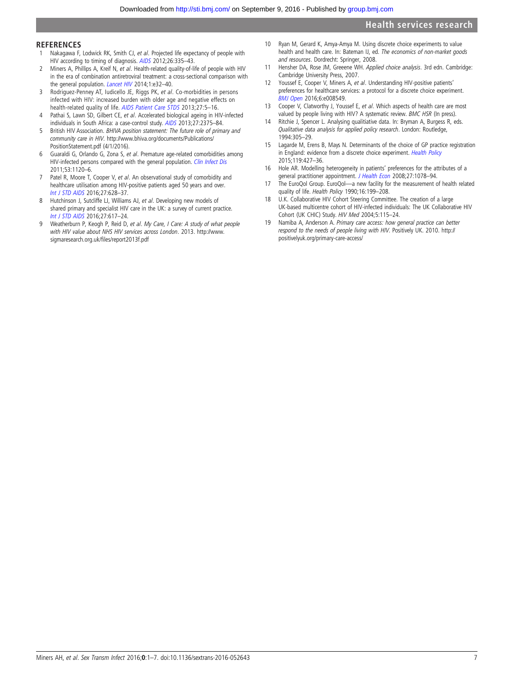### <span id="page-7-0"></span>**REFERENCES**

- Nakagawa F, Lodwick RK, Smith CJ, et al. Projected life expectancy of people with HIV according to timing of diagnosis. [AIDS](http://dx.doi.org/10.1097/QAD.0b013e32834dcec9) 2012;26:335–43.
- 2 Miners A, Phillips A, Kreif N, et al. Health-related quality-of-life of people with HIV in the era of combination antiretroviral treatment: a cross-sectional comparison with the general population. [Lancet HIV](http://dx.doi.org/10.1016/S2352-3018(14)70018-9) 2014;1:e32-40.
- 3 Rodriguez-Penney AT, Iudicello JE, Riggs PK, et al. Co-morbidities in persons infected with HIV: increased burden with older age and negative effects on health-related quality of life. [AIDS Patient Care STDS](http://dx.doi.org/10.1089/apc.2012.0329) 2013;27:5-16.
- 4 Pathai S, Lawn SD, Gilbert CE, et al. Accelerated biological ageing in HIV-infected individuals in South Africa: a case-control study. [AIDS](http://dx.doi.org/10.1097/QAD.0b013e328363bf7f) 2013;27:2375–84.
- 5 British HIV Association. BHIVA position statement: The future role of primary and community care in HIV. [http://www.bhiva.org/documents/Publications/](http://www.bhiva.org/documents/Publications/PositionStatement.pdf) [PositionStatement.pdf](http://www.bhiva.org/documents/Publications/PositionStatement.pdf) (4/1/2016).
- 6 Guaraldi G, Orlando G, Zona S, et al. Premature age-related comorbidities among HIV-infected persons compared with the general population. [Clin Infect Dis](http://dx.doi.org/10.1093/cid/cir627) 2011;53:1120–6.
- 7 Patel R, Moore T, Cooper V, et al. An observational study of comorbidity and healthcare utilisation among HIV-positive patients aged 50 years and over. [Int J STD AIDS](http://dx.doi.org/10.1177/0956462415589524) 2016;27:628–37.
- 8 Hutchinson J, Sutcliffe LJ, Williams AJ, et al. Developing new models of shared primary and specialist HIV care in the UK: a survey of current practice. [Int J STD AIDS](http://dx.doi.org/10.1177/0956462415592801) 2016;27:617–24.
- 9 Weatherburn P, Keogh P, Reid D, et al. My Care, I Care: A study of what people with HIV value about NHS HIV services across London. 2013. [http://www.](http://www.sigmaresearch.org.uk/files/report2013f.pdf) [sigmaresearch.org.uk/](http://www.sigmaresearch.org.uk/files/report2013f.pdf)files/report2013f.pdf
- 10 Ryan M, Gerard K, Amya-Amya M. Using discrete choice experiments to value health and health care. In: Bateman IJ, ed. The economics of non-market goods and resources. Dordrecht: Springer, 2008.
- 11 Hensher DA, Rose JM, Greeene WH. Applied choice analysis. 3rd edn. Cambridge: Cambridge University Press, 2007.
- 12 Youssef E, Cooper V, Miners A, et al. Understanding HIV-positive patients' preferences for healthcare services: a protocol for a discrete choice experiment. [BMJ Open](http://dx.doi.org/10.1136/bmjopen-2015-008549) 2016;6:e008549.
- 13 Cooper V, Clatworthy J, Youssef E, et al. Which aspects of health care are most valued by people living with HIV? A systematic review. BMC HSR (In press).
- 14 Ritchie J, Spencer L. Analysing qualitiative data. In: Bryman A, Burgess R, eds. Qualitative data analysis for applied policy research. London: Routledge, 1994:305–29.
- 15 Lagarde M, Erens B, Mays N. Determinants of the choice of GP practice registration in England: evidence from a discrete choice experiment. [Health Policy](http://dx.doi.org/10.1016/j.healthpol.2014.10.008) 2015;119:427–36.
- 16 Hole AR. Modelling heterogeneity in patients' preferences for the attributes of a general practitioner appointment. [J Health Econ](http://dx.doi.org/10.1016/j.jhealeco.2007.11.006) 2008;27:1078–94.
- 17 The EuroQol Group. EuroQol—a new facility for the measurement of health related quality of life. Health Policy 1990;16:199–208.
- 18 U.K. Collaborative HIV Cohort Steering Committee. The creation of a large UK-based multicentre cohort of HIV-infected individuals: The UK Collaborative HIV Cohort (UK CHIC) Study. HIV Med 2004;5:115–24.
- 19 Namiba A, Anderson A. Primary care access: how general practice can better respond to the needs of people living with HIV. Positively UK. 2010. [http://](http://positivelyuk.org/primary-care-access/) [positivelyuk.org/primary-care-access/](http://positivelyuk.org/primary-care-access/)